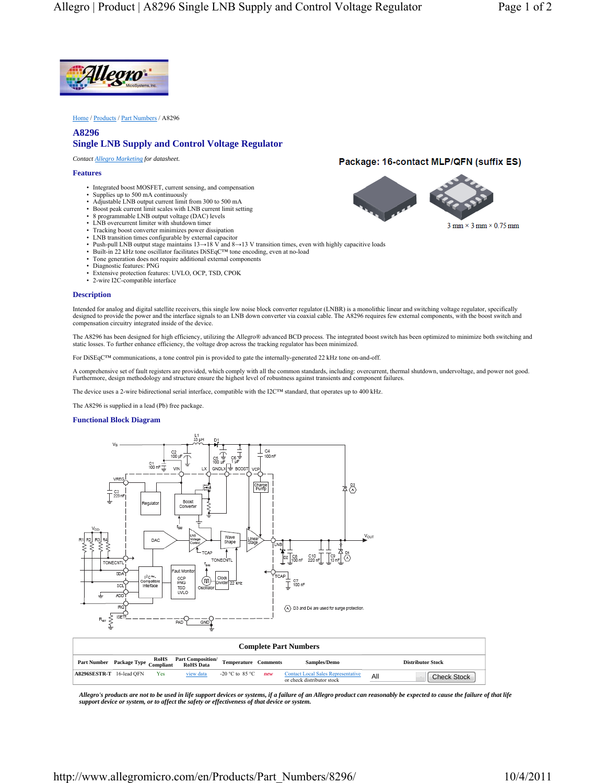

Home / Products / Part Numbers / A8296

## **A8296 Single LNB Supply and Control Voltage Regulator**

*Contact Allegro Marketing for datasheet.*

### **Features**

- Integrated boost MOSFET, current sensing, and compensation
- Supplies up to 500 mA continuously
- Adjustable LNB output current limit from 300 to 500 mA
- Boost peak current limit scales with LNB current limit setting
- 8 programmable LNB output voltage (DAC) levels
- LNB overcurrent limiter with shutdown timer
- Tracking boost converter minimizes power dissipation LNB transition times configurable by external capacitor
- Push-pull LNB output stage maintains 13→18 V and 8→13 V transition times, even with highly capacitive loads
- 
- Built-in 22 kHz tone oscillator facilitates DiSEqC™ tone encoding, even at no-load Tone generation does not require additional external components
- Diagnostic features: PNG
- Extensive protection features: UVLO, OCP, TSD, CPOK
- 2-wire I2C-compatible interface

#### **Description**

Intended for analog and digital satellite receivers, this single low noise block converter regulator (LNBR) is a monolithic linear and switching voltage regulator, specifically<br>designed to provide the power and the interfa compensation circuitry integrated inside of the device.

The A8296 has been designed for high efficiency, utilizing the Allegro® advanced BCD process. The integrated boost switch has been optimized to minimize both switching and static losses. To further enhance efficiency, the voltage drop across the tracking regulator has been minimized.

For DiSEqC™ communications, a tone control pin is provided to gate the internally-generated 22 kHz tone on-and-off.

A comprehensive set of fault registers are provided, which comply with all the common standards, including: overcurrent, thermal shutdown, undervoltage, and power not good.<br>Furthermore, design methodology and structure ens

The device uses a 2-wire bidirectional serial interface, compatible with the I2C™ standard, that operates up to 400 kHz.

The A8296 is supplied in a lead (Pb) free package.

### **Functional Block Diagram**



*Allegro's products are not to be used in life support devices or systems, if a failure of an Allegro product can reasonably be expected to cause the failure of that life support device or system, or to affect the safety or effectiveness of that device or system.*

# Package: 16-contact MLP/QFN (suffix ES)



All **Check Stock** 

**A8296SESTR-T** 16-lead QFN Yes view data -20 °C to 85 °C *new* Contact Local Sales Representative representative representative representative representative representative representative representative representative repr